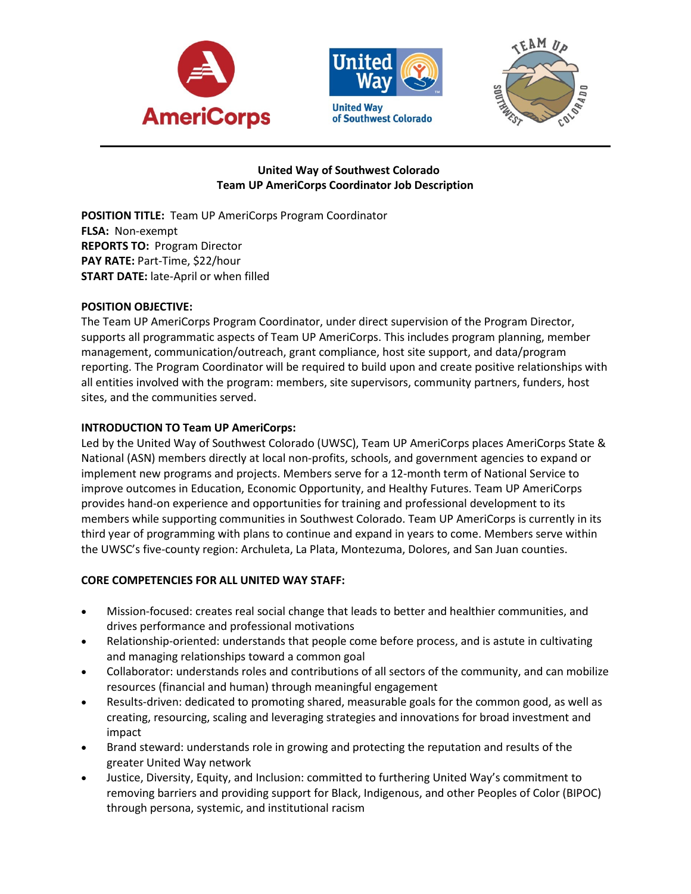





## **United Way of Southwest Colorado Team UP AmeriCorps Coordinator Job Description**

**POSITION TITLE:** Team UP AmeriCorps Program Coordinator **FLSA:** Non-exempt **REPORTS TO:** Program Director **PAY RATE:** Part-Time, \$22/hour **START DATE:** late-April or when filled

## **POSITION OBJECTIVE:**

The Team UP AmeriCorps Program Coordinator, under direct supervision of the Program Director, supports all programmatic aspects of Team UP AmeriCorps. This includes program planning, member management, communication/outreach, grant compliance, host site support, and data/program reporting. The Program Coordinator will be required to build upon and create positive relationships with all entities involved with the program: members, site supervisors, community partners, funders, host sites, and the communities served.

# **INTRODUCTION TO Team UP AmeriCorps:**

Led by the United Way of Southwest Colorado (UWSC), Team UP AmeriCorps places AmeriCorps State & National (ASN) members directly at local non-profits, schools, and government agencies to expand or implement new programs and projects. Members serve for a 12-month term of National Service to improve outcomes in Education, Economic Opportunity, and Healthy Futures. Team UP AmeriCorps provides hand-on experience and opportunities for training and professional development to its members while supporting communities in Southwest Colorado. Team UP AmeriCorps is currently in its third year of programming with plans to continue and expand in years to come. Members serve within the UWSC's five-county region: Archuleta, La Plata, Montezuma, Dolores, and San Juan counties.

## **CORE COMPETENCIES FOR ALL UNITED WAY STAFF:**

- Mission-focused: creates real social change that leads to better and healthier communities, and drives performance and professional motivations
- Relationship-oriented: understands that people come before process, and is astute in cultivating and managing relationships toward a common goal
- Collaborator: understands roles and contributions of all sectors of the community, and can mobilize resources (financial and human) through meaningful engagement
- Results-driven: dedicated to promoting shared, measurable goals for the common good, as well as creating, resourcing, scaling and leveraging strategies and innovations for broad investment and impact
- Brand steward: understands role in growing and protecting the reputation and results of the greater United Way network
- Justice, Diversity, Equity, and Inclusion: committed to furthering United Way's commitment to removing barriers and providing support for Black, Indigenous, and other Peoples of Color (BIPOC) through persona, systemic, and institutional racism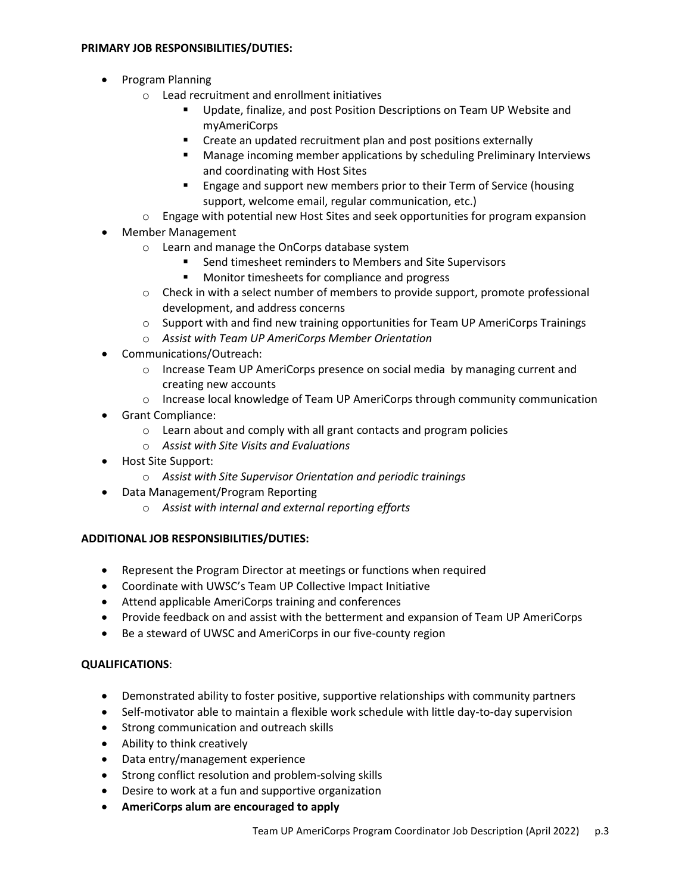### **PRIMARY JOB RESPONSIBILITIES/DUTIES:**

- Program Planning
	- o Lead recruitment and enrollment initiatives
		- Update, finalize, and post Position Descriptions on Team UP Website and myAmeriCorps
		- **EXTERGHT Create an updated recruitment plan and post positions externally**
		- **EXECT** Manage incoming member applications by scheduling Preliminary Interviews and coordinating with Host Sites
		- **Engage and support new members prior to their Term of Service (housing** support, welcome email, regular communication, etc.)
	- $\circ$  Engage with potential new Host Sites and seek opportunities for program expansion
- Member Management
	- o Learn and manage the OnCorps database system
		- Send timesheet reminders to Members and Site Supervisors
		- Monitor timesheets for compliance and progress
	- $\circ$  Check in with a select number of members to provide support, promote professional development, and address concerns
	- o Support with and find new training opportunities for Team UP AmeriCorps Trainings
	- o *Assist with Team UP AmeriCorps Member Orientation*
- Communications/Outreach:
	- $\circ$  Increase Team UP AmeriCorps presence on social media by managing current and creating new accounts
	- $\circ$  Increase local knowledge of Team UP AmeriCorps through community communication
- Grant Compliance:
	- o Learn about and comply with all grant contacts and program policies
	- o *Assist with Site Visits and Evaluations*
- Host Site Support:
	- o *Assist with Site Supervisor Orientation and periodic trainings*
- Data Management/Program Reporting
	- o *Assist with internal and external reporting efforts*

## **ADDITIONAL JOB RESPONSIBILITIES/DUTIES:**

- Represent the Program Director at meetings or functions when required
- Coordinate with UWSC's Team UP Collective Impact Initiative
- Attend applicable AmeriCorps training and conferences
- Provide feedback on and assist with the betterment and expansion of Team UP AmeriCorps
- Be a steward of UWSC and AmeriCorps in our five-county region

## **QUALIFICATIONS**:

- Demonstrated ability to foster positive, supportive relationships with community partners
- Self-motivator able to maintain a flexible work schedule with little day-to-day supervision
- Strong communication and outreach skills
- Ability to think creatively
- Data entry/management experience
- Strong conflict resolution and problem-solving skills
- Desire to work at a fun and supportive organization
- **AmeriCorps alum are encouraged to apply**